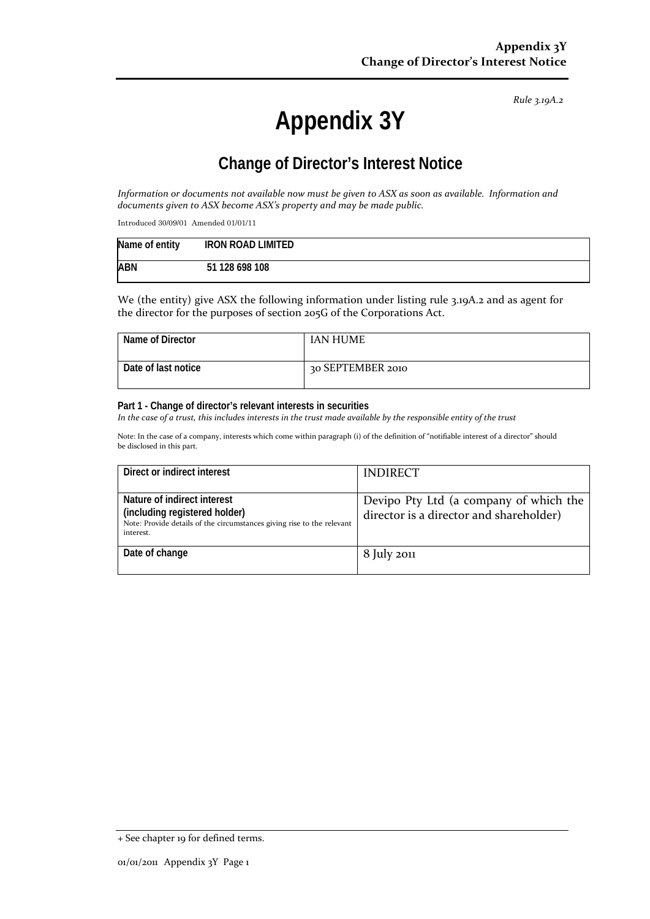*Rule 3.19A.2*

# **Appendix 3Y**

# **Change of Director's Interest Notice**

*Information or documents not available now must be given to ASX as soon as available. Information and documents given to ASX become ASX's property and may be made public.*

Introduced 30/09/01 Amended 01/01/11

| Name of entity | IRON ROAD LIMITED |
|----------------|-------------------|
| <b>ABN</b>     | 51 128 698 108    |

We (the entity) give ASX the following information under listing rule 3.19A.2 and as agent for the director for the purposes of section 205G of the Corporations Act.

| Name of Director    | IAN HUME          |
|---------------------|-------------------|
| Date of last notice | 30 SEPTEMBER 2010 |

#### **Part 1 - Change of director's relevant interests in securities**

*In the case of a trust, this includes interests in the trust made available by the responsible entity of the trust*

Note: In the case of a company, interests which come within paragraph (i) of the definition of "notifiable interest of a director" should be disclosed in this part.

| Direct or indirect interest                                                                                                                         | <b>INDIRECT</b>                                                                   |
|-----------------------------------------------------------------------------------------------------------------------------------------------------|-----------------------------------------------------------------------------------|
| Nature of indirect interest<br>(including registered holder)<br>Note: Provide details of the circumstances giving rise to the relevant<br>interest. | Devipo Pty Ltd (a company of which the<br>director is a director and shareholder) |
| Date of change                                                                                                                                      | $8$ July 2011                                                                     |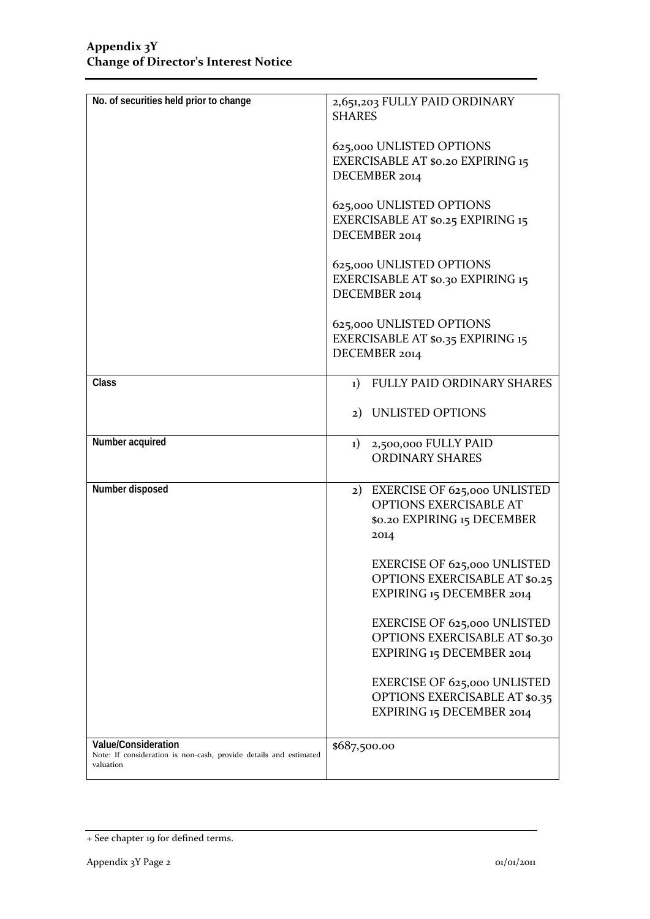| No. of securities held prior to change                                         | 2,651,203 FULLY PAID ORDINARY             |  |  |  |
|--------------------------------------------------------------------------------|-------------------------------------------|--|--|--|
|                                                                                | <b>SHARES</b>                             |  |  |  |
|                                                                                |                                           |  |  |  |
|                                                                                | 625,000 UNLISTED OPTIONS                  |  |  |  |
|                                                                                |                                           |  |  |  |
|                                                                                | EXERCISABLE AT \$0.20 EXPIRING 15         |  |  |  |
|                                                                                | DECEMBER 2014                             |  |  |  |
|                                                                                |                                           |  |  |  |
|                                                                                | 625,000 UNLISTED OPTIONS                  |  |  |  |
|                                                                                | EXERCISABLE AT \$0.25 EXPIRING 15         |  |  |  |
|                                                                                |                                           |  |  |  |
|                                                                                | DECEMBER 2014                             |  |  |  |
|                                                                                |                                           |  |  |  |
|                                                                                | 625,000 UNLISTED OPTIONS                  |  |  |  |
|                                                                                | EXERCISABLE AT \$0.30 EXPIRING 15         |  |  |  |
|                                                                                | DECEMBER 2014                             |  |  |  |
|                                                                                |                                           |  |  |  |
|                                                                                |                                           |  |  |  |
|                                                                                | 625,000 UNLISTED OPTIONS                  |  |  |  |
|                                                                                | EXERCISABLE AT \$0.35 EXPIRING 15         |  |  |  |
|                                                                                | DECEMBER 2014                             |  |  |  |
|                                                                                |                                           |  |  |  |
| Class                                                                          | FULLY PAID ORDINARY SHARES<br>$_{1}$ )    |  |  |  |
|                                                                                |                                           |  |  |  |
|                                                                                |                                           |  |  |  |
|                                                                                | 2) UNLISTED OPTIONS                       |  |  |  |
|                                                                                |                                           |  |  |  |
| Number acquired                                                                | 2,500,000 FULLY PAID<br>$_{1}$            |  |  |  |
|                                                                                | <b>ORDINARY SHARES</b>                    |  |  |  |
|                                                                                |                                           |  |  |  |
| Number disposed                                                                |                                           |  |  |  |
|                                                                                | <b>EXERCISE OF 625,000 UNLISTED</b><br>2) |  |  |  |
|                                                                                | OPTIONS EXERCISABLE AT                    |  |  |  |
|                                                                                | \$0.20 EXPIRING 15 DECEMBER               |  |  |  |
|                                                                                | 2014                                      |  |  |  |
|                                                                                |                                           |  |  |  |
|                                                                                | <b>EXERCISE OF 625,000 UNLISTED</b>       |  |  |  |
|                                                                                |                                           |  |  |  |
|                                                                                | <b>OPTIONS EXERCISABLE AT \$0.25</b>      |  |  |  |
|                                                                                | EXPIRING 15 DECEMBER 2014                 |  |  |  |
|                                                                                |                                           |  |  |  |
|                                                                                | <b>EXERCISE OF 625,000 UNLISTED</b>       |  |  |  |
|                                                                                | <b>OPTIONS EXERCISABLE AT \$0.30</b>      |  |  |  |
|                                                                                |                                           |  |  |  |
|                                                                                | EXPIRING 15 DECEMBER 2014                 |  |  |  |
|                                                                                |                                           |  |  |  |
|                                                                                | <b>EXERCISE OF 625,000 UNLISTED</b>       |  |  |  |
|                                                                                | <b>OPTIONS EXERCISABLE AT \$0.35</b>      |  |  |  |
|                                                                                | EXPIRING 15 DECEMBER 2014                 |  |  |  |
|                                                                                |                                           |  |  |  |
|                                                                                |                                           |  |  |  |
|                                                                                |                                           |  |  |  |
| <b>Value/Consideration</b>                                                     | \$687,500.00                              |  |  |  |
| Note: If consideration is non-cash, provide details and estimated<br>valuation |                                           |  |  |  |

<sup>+</sup> See chapter 19 for defined terms.